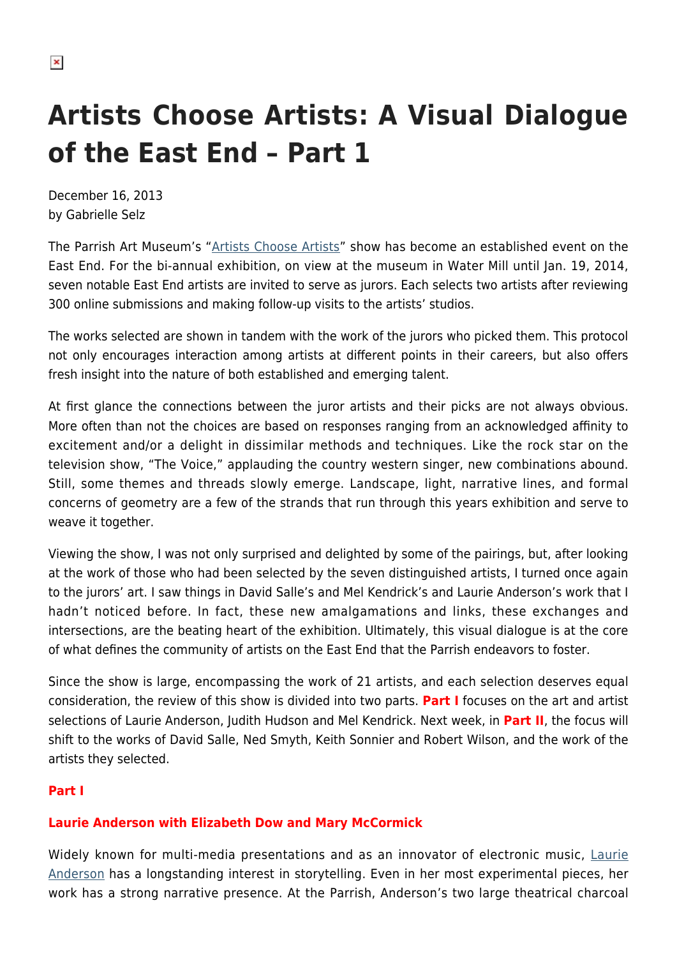# **Artists Choose Artists: A Visual Dialogue of the East End – Part 1**

December 16, 2013 by Gabrielle Selz

The Parrish Art Museum's ["Artists Choose Artists"](http://www.parrishart.org/exhibitions/artists-choose-artists-2013) show has become an established event on the East End. For the bi-annual exhibition, on view at the museum in Water Mill until Jan. 19, 2014, seven notable East End artists are invited to serve as jurors. Each selects two artists after reviewing 300 online submissions and making follow-up visits to the artists' studios.

The works selected are shown in tandem with the work of the jurors who picked them. This protocol not only encourages interaction among artists at different points in their careers, but also offers fresh insight into the nature of both established and emerging talent.

At first glance the connections between the juror artists and their picks are not always obvious. More often than not the choices are based on responses ranging from an acknowledged affinity to excitement and/or a delight in dissimilar methods and techniques. Like the rock star on the television show, "The Voice," applauding the country western singer, new combinations abound. Still, some themes and threads slowly emerge. Landscape, light, narrative lines, and formal concerns of geometry are a few of the strands that run through this years exhibition and serve to weave it together.

Viewing the show, I was not only surprised and delighted by some of the pairings, but, after looking at the work of those who had been selected by the seven distinguished artists, I turned once again to the jurors' art. I saw things in David Salle's and Mel Kendrick's and Laurie Anderson's work that I hadn't noticed before. In fact, these new amalgamations and links, these exchanges and intersections, are the beating heart of the exhibition. Ultimately, this visual dialogue is at the core of what defines the community of artists on the East End that the Parrish endeavors to foster.

Since the show is large, encompassing the work of 21 artists, and each selection deserves equal consideration, the review of this show is divided into two parts. **Part I** focuses on the art and artist selections of Laurie Anderson, Judith Hudson and Mel Kendrick. Next week, in **Part II**, the focus will shift to the works of David Salle, Ned Smyth, Keith Sonnier and Robert Wilson, and the work of the artists they selected.

# **Part I**

# **Laurie Anderson with Elizabeth Dow and Mary McCormick**

Widely known for multi-media presentations and as an innovator of electronic music, [Laurie](http://www.laurieanderson.com/home.shtml) [Anderson](http://www.laurieanderson.com/home.shtml) has a longstanding interest in storytelling. Even in her most experimental pieces, her work has a strong narrative presence. At the Parrish, Anderson's two large theatrical charcoal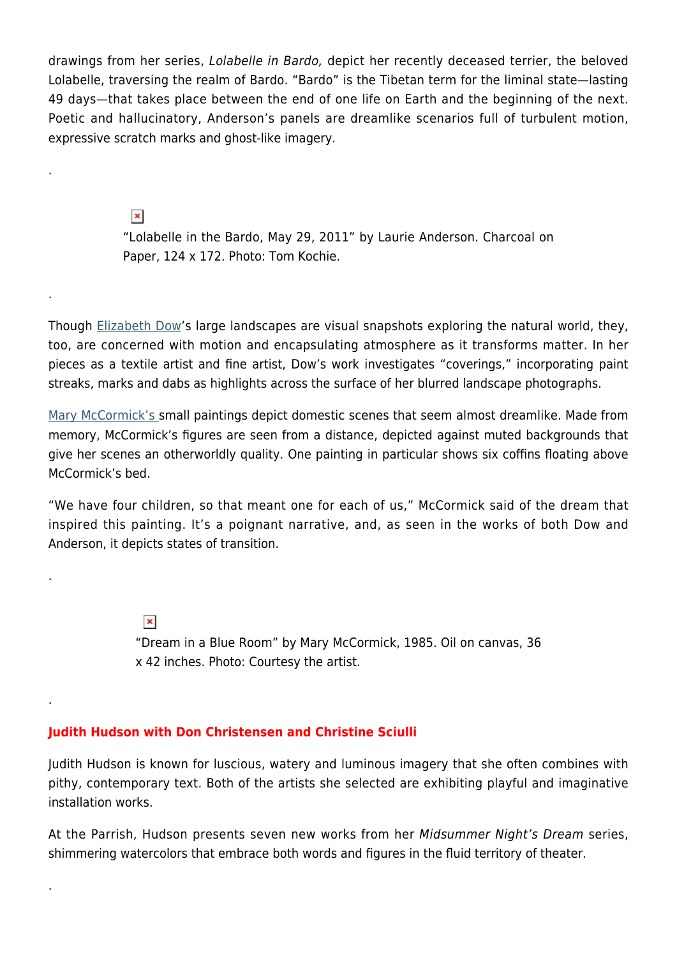drawings from her series, Lolabelle in Bardo, depict her recently deceased terrier, the beloved Lolabelle, traversing the realm of Bardo. "Bardo" is the Tibetan term for the liminal state—lasting 49 days—that takes place between the end of one life on Earth and the beginning of the next. Poetic and hallucinatory, Anderson's panels are dreamlike scenarios full of turbulent motion, expressive scratch marks and ghost-like imagery.

> $\pmb{\times}$ "Lolabelle in the Bardo, May 29, 2011" by Laurie Anderson. Charcoal on Paper, 124 x 172. Photo: Tom Kochie.

Though [Elizabeth Dow'](http://www.elizabethdowstudio.com/landscape.htm)s large landscapes are visual snapshots exploring the natural world, they, too, are concerned with motion and encapsulating atmosphere as it transforms matter. In her pieces as a textile artist and fine artist, Dow's work investigates "coverings," incorporating paint streaks, marks and dabs as highlights across the surface of her blurred landscape photographs.

[Mary McCormick's s](https://vimeo.com/79144692)mall paintings depict domestic scenes that seem almost dreamlike. Made from memory, McCormick's figures are seen from a distance, depicted against muted backgrounds that give her scenes an otherworldly quality. One painting in particular shows six coffins floating above McCormick's bed.

"We have four children, so that meant one for each of us," McCormick said of the dream that inspired this painting. It's a poignant narrative, and, as seen in the works of both Dow and Anderson, it depicts states of transition.

> $\pmb{\times}$ "Dream in a Blue Room" by Mary McCormick, 1985. Oil on canvas, 36 x 42 inches. Photo: Courtesy the artist.

### **Judith Hudson with Don Christensen and Christine Sciulli**

.

.

.

.

.

Judith Hudson is known for luscious, watery and luminous imagery that she often combines with pithy, contemporary text. Both of the artists she selected are exhibiting playful and imaginative installation works.

At the Parrish, Hudson presents seven new works from her Midsummer Night's Dream series, shimmering watercolors that embrace both words and figures in the fluid territory of theater.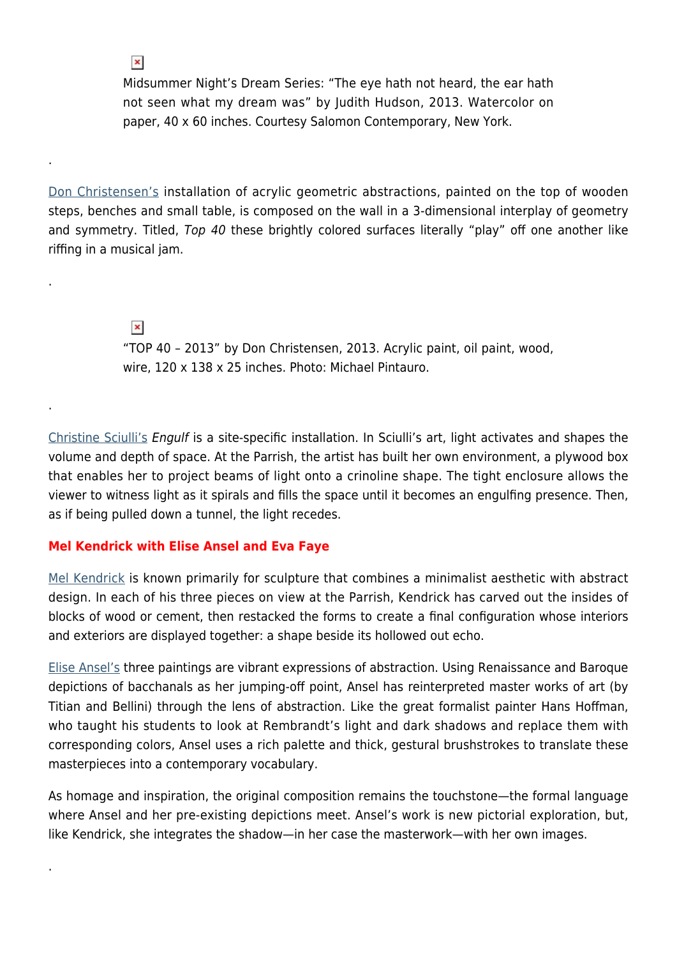Midsummer Night's Dream Series: "The eye hath not heard, the ear hath not seen what my dream was" by Judith Hudson, 2013. Watercolor on paper, 40 x 60 inches. Courtesy Salomon Contemporary, New York.

[Don Christensen's](http://www.donchristensen.com/recenWork.php) installation of acrylic geometric abstractions, painted on the top of wooden steps, benches and small table, is composed on the wall in a 3-dimensional interplay of geometry and symmetry. Titled, Top 40 these brightly colored surfaces literally "play" off one another like riffing in a musical jam.

> $\pmb{\times}$ "TOP 40 – 2013" by Don Christensen, 2013. Acrylic paint, oil paint, wood, wire, 120 x 138 x 25 inches. Photo: Michael Pintauro.

[Christine Sciulli's](http://www.soundandvision.cc) Engulf is a site-specific installation. In Sciulli's art, light activates and shapes the volume and depth of space. At the Parrish, the artist has built her own environment, a plywood box that enables her to project beams of light onto a crinoline shape. The tight enclosure allows the viewer to witness light as it spirals and fills the space until it becomes an engulfing presence. Then, as if being pulled down a tunnel, the light recedes.

### **Mel Kendrick with Elise Ansel and Eva Faye**

.

 $\pmb{\times}$ 

.

.

.

[Mel Kendrick](http://www.melkendrick.com) is known primarily for sculpture that combines a minimalist aesthetic with abstract design. In each of his three pieces on view at the Parrish, Kendrick has carved out the insides of blocks of wood or cement, then restacked the forms to create a final configuration whose interiors and exteriors are displayed together: a shape beside its hollowed out echo.

[Elise Ansel's](http://www.eliseansel.com) three paintings are vibrant expressions of abstraction. Using Renaissance and Baroque depictions of bacchanals as her jumping-off point, Ansel has reinterpreted master works of art (by Titian and Bellini) through the lens of abstraction. Like the great formalist painter Hans Hoffman, who taught his students to look at Rembrandt's light and dark shadows and replace them with corresponding colors, Ansel uses a rich palette and thick, gestural brushstrokes to translate these masterpieces into a contemporary vocabulary.

As homage and inspiration, the original composition remains the touchstone—the formal language where Ansel and her pre-existing depictions meet. Ansel's work is new pictorial exploration, but, like Kendrick, she integrates the shadow—in her case the masterwork—with her own images.